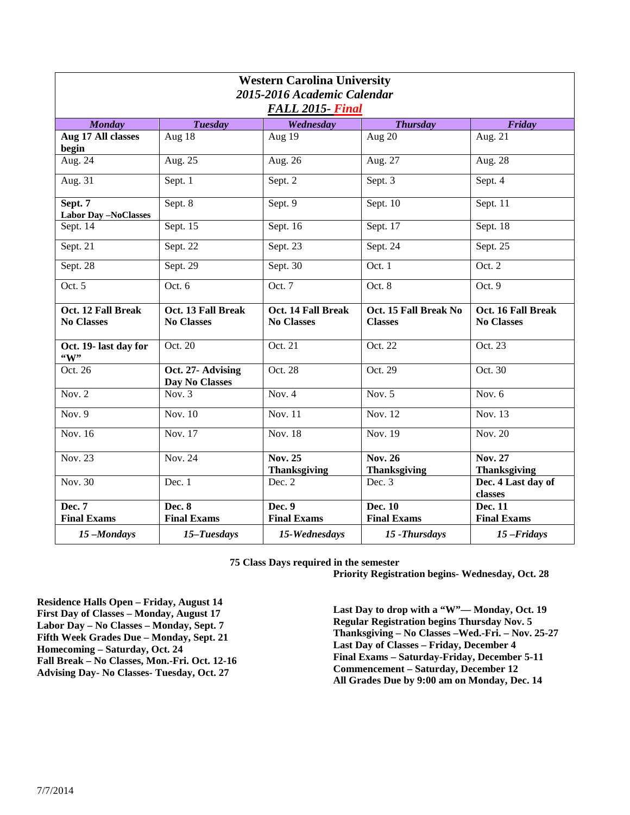| <b>Western Carolina University</b><br>2015-2016 Academic Calendar<br>FALL 2015- Final |                                         |                                         |                                         |                                         |  |
|---------------------------------------------------------------------------------------|-----------------------------------------|-----------------------------------------|-----------------------------------------|-----------------------------------------|--|
| <b>Monday</b>                                                                         | <b>Tuesday</b>                          | Wednesday                               | <b>Thursday</b>                         | Friday                                  |  |
| Aug 17 All classes<br>begin                                                           | Aug 18                                  | Aug $19$                                | Aug 20                                  | Aug. $21$                               |  |
| Aug. 24                                                                               | Aug. 25                                 | Aug. 26                                 | Aug. 27                                 | Aug. 28                                 |  |
| Aug. 31                                                                               | Sept. 1                                 | Sept. 2                                 | Sept. 3                                 | Sept. 4                                 |  |
| Sept. 7<br><b>Labor Day -NoClasses</b>                                                | Sept. 8                                 | Sept. 9                                 | Sept. $10$                              | Sept. 11                                |  |
| Sept. 14                                                                              | Sept. 15                                | Sept. 16                                | Sept. 17                                | Sept. 18                                |  |
| Sept. 21                                                                              | Sept. 22                                | Sept. $23$                              | Sept. 24                                | Sept. $2\overline{5}$                   |  |
| Sept. 28                                                                              | Sept. $2\overline{9}$                   | Sept. 30                                | Oct. 1                                  | Oct. 2                                  |  |
| Oct. 5                                                                                | Oct. 6                                  | Oct. 7                                  | Oct. 8                                  | Oct. 9                                  |  |
| Oct. 12 Fall Break<br><b>No Classes</b>                                               | Oct. 13 Fall Break<br><b>No Classes</b> | Oct. 14 Fall Break<br><b>No Classes</b> | Oct. 15 Fall Break No<br><b>Classes</b> | Oct. 16 Fall Break<br><b>No Classes</b> |  |
| Oct. 19- last day for<br>$\mathbf{``W''}$                                             | Oct. 20                                 | Oct. 21                                 | Oct. 22                                 | Oct. 23                                 |  |
| Oct. 26                                                                               | Oct. 27- Advising<br>Day No Classes     | Oct. 28                                 | Oct. 29                                 | Oct. 30                                 |  |
| Nov. $2$                                                                              | $\overline{Nov. 3}$                     | Nov. $4$                                | Nov. $5$                                | Nov. $6$                                |  |
| Nov. $9$                                                                              | <b>Nov. 10</b>                          | <b>Nov. 11</b>                          | Nov. 12                                 | Nov. 13                                 |  |
| <b>Nov. 16</b>                                                                        | Nov. 17                                 | $\overline{\text{Nov. }18}$             | Nov. 19                                 | Nov. 20                                 |  |
| <b>Nov. 23</b>                                                                        | <b>Nov. 24</b>                          | <b>Nov. 25</b><br><b>Thanksgiving</b>   | <b>Nov. 26</b><br><b>Thanksgiving</b>   | <b>Nov. 27</b><br><b>Thanksgiving</b>   |  |
| Nov. 30                                                                               | Dec. 1                                  | Dec. 2                                  | Dec. 3                                  | Dec. 4 Last day of<br>classes           |  |
| Dec. 7<br><b>Final Exams</b>                                                          | <b>Dec. 8</b><br><b>Final Exams</b>     | Dec. 9<br><b>Final Exams</b>            | Dec. 10<br><b>Final Exams</b>           | Dec. 11<br><b>Final Exams</b>           |  |
| 15-Mondays                                                                            | 15-Tuesdays                             | 15-Wednesdays                           | 15 - Thursdays                          | $15$ -Fridays                           |  |

**75 Class Days required in the semester**

**Priority Registration begins- Wednesday, Oct. 28** 

**Residence Halls Open – Friday, August 14 First Day of Classes – Monday, August 17 Labor Day – No Classes – Monday, Sept. 7 Fifth Week Grades Due – Monday, Sept. 21 Homecoming – Saturday, Oct. 24 Fall Break – No Classes, Mon.-Fri. Oct. 12-16 Advising Day- No Classes- Tuesday, Oct. 27**

**Last Day to drop with a "W"— Monday, Oct. 19 Regular Registration begins Thursday Nov. 5 Thanksgiving – No Classes –Wed.-Fri. – Nov. 25-27 Last Day of Classes – Friday, December 4 Final Exams – Saturday-Friday, December 5-11 Commencement – Saturday, December 12 All Grades Due by 9:00 am on Monday, Dec. 14**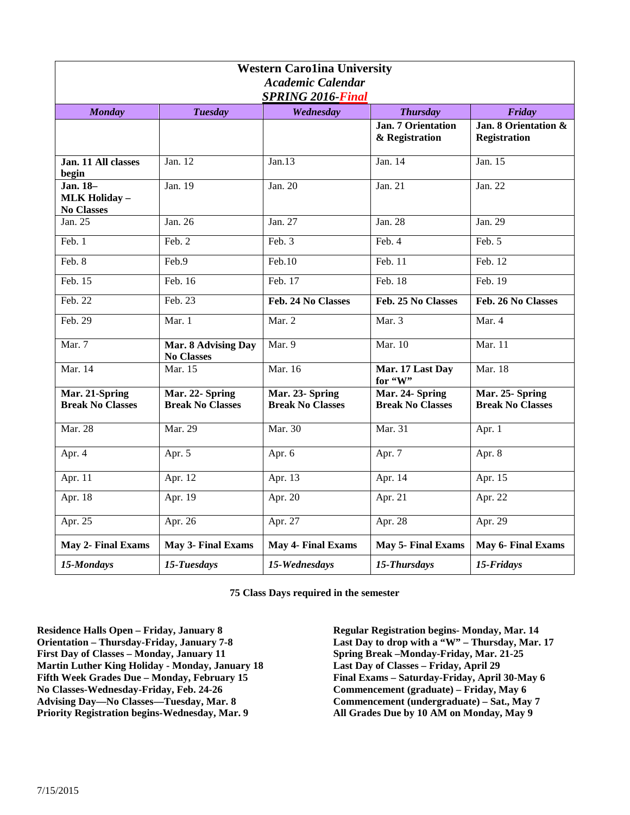| <b>Western Carolina University</b><br><b>Academic Calendar</b><br><b>SPRING 2016-Final</b> |                                            |                                            |                                             |                                             |  |  |
|--------------------------------------------------------------------------------------------|--------------------------------------------|--------------------------------------------|---------------------------------------------|---------------------------------------------|--|--|
| <b>Monday</b>                                                                              | <b>Tuesday</b>                             | Wednesday                                  | <b>Thursday</b>                             | Friday                                      |  |  |
|                                                                                            |                                            |                                            | <b>Jan. 7 Orientation</b><br>& Registration | Jan. 8 Orientation &<br><b>Registration</b> |  |  |
| Jan. 11 All classes<br>begin                                                               | Jan. $12$                                  | Jan.13                                     | Jan. 14                                     | Jan. 15                                     |  |  |
| Jan. 18-<br><b>MLK Holiday -</b><br><b>No Classes</b>                                      | Jan. 19                                    | Jan. 20                                    | Jan. $21$                                   | Jan. 22                                     |  |  |
| Jan. 25                                                                                    | Jan. 26                                    | Jan. 27                                    | Jan. 28                                     | Jan. 29                                     |  |  |
| Feb. 1                                                                                     | Feb. 2                                     | Feb. 3                                     | Feb. 4                                      | Feb. 5                                      |  |  |
| Feb. 8                                                                                     | Feb.9                                      | $\overline{\text{Feb}.10}$                 | Feb. 11                                     | Feb. 12                                     |  |  |
| Feb. 15                                                                                    | Feb. 16                                    | Feb. 17                                    | Feb. 18                                     | Feb. 19                                     |  |  |
| Feb. 22                                                                                    | Feb. 23                                    | Feb. 24 No Classes                         | Feb. 25 No Classes                          | Feb. 26 No Classes                          |  |  |
| Feb. 29                                                                                    | Mar. 1                                     | Mar. 2                                     | Mar. $3$                                    | Mar. 4                                      |  |  |
| Mar. 7                                                                                     | Mar. 8 Advising Day<br><b>No Classes</b>   | Mar. 9                                     | Mar. 10                                     | Mar. 11                                     |  |  |
| Mar. 14                                                                                    | Mar. 15                                    | Mar. 16                                    | Mar. 17 Last Day<br>for "W"                 | <b>Mar.</b> 18                              |  |  |
| Mar. 21-Spring<br><b>Break No Classes</b>                                                  | Mar. 22- Spring<br><b>Break No Classes</b> | Mar. 23- Spring<br><b>Break No Classes</b> | Mar. 24- Spring<br><b>Break No Classes</b>  | Mar. 25- Spring<br><b>Break No Classes</b>  |  |  |
| <b>Mar. 28</b>                                                                             | Mar. 29                                    | Mar. 30                                    | Mar. 31                                     | Apr. 1                                      |  |  |
| Apr. 4                                                                                     | Apr. 5                                     | Apr. $6$                                   | Apr. 7                                      | Apr. 8                                      |  |  |
| Apr. 11                                                                                    | Apr. 12                                    | Apr. $1\overline{3}$                       | Apr. 14                                     | Apr. 15                                     |  |  |
| Apr. 18                                                                                    | Apr. 19                                    | Apr. $20$                                  | Apr. 21                                     | Apr. 22                                     |  |  |
| Apr. 25                                                                                    | Apr. 26                                    | Apr. 27                                    | Apr. 28                                     | Apr. 29                                     |  |  |
| May 2- Final Exams                                                                         | May 3- Final Exams                         | <b>May 4- Final Exams</b>                  | <b>May 5- Final Exams</b>                   | May 6- Final Exams                          |  |  |
| 15-Mondays                                                                                 | 15-Tuesdays                                | 15-Wednesdays                              | 15-Thursdays                                | 15-Fridays                                  |  |  |

**75 Class Days required in the semester**

**Residence Halls Open – Friday, January 8 Orientation – Thursday-Friday, January 7-8 First Day of Classes – Monday, January 11 Martin Luther King Holiday - Monday, January 18 Fifth Week Grades Due – Monday, February 15 No Classes-Wednesday-Friday, Feb. 24-26 Advising Day—No Classes—Tuesday, Mar. 8 Priority Registration begins-Wednesday, Mar. 9**

**Regular Registration begins- Monday, Mar. 14 Last Day to drop with a "W" – Thursday, Mar. 17 Spring Break –Monday-Friday, Mar. 21-25 Last Day of Classes – Friday, April 29 Final Exams – Saturday-Friday, April 30-May 6 Commencement (graduate) – Friday, May 6 Commencement (undergraduate) – Sat., May 7 All Grades Due by 10 AM on Monday, May 9**